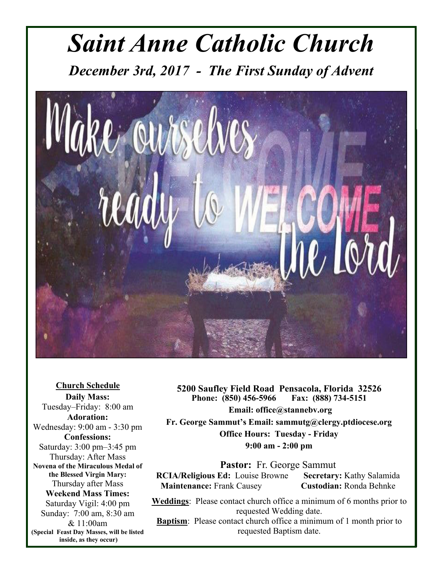# *Saint Anne Catholic Church*

*December 3rd, 2017 - The First Sunday of Advent* 



**Church Schedule Daily Mass:**  Tuesday–Friday: 8:00 am **Adoration:**  Wednesday: 9:00 am - 3:30 pm **Confessions:**  Saturday: 3:00 pm–3:45 pm Thursday: After Mass **Novena of the Miraculous Medal of the Blessed Virgin Mary:**  Thursday after Mass **Weekend Mass Times:**  Saturday Vigil: 4:00 pm Sunday: 7:00 am, 8:30 am & 11:00am **(Special Feast Day Masses, will be listed inside, as they occur)**

**5200 Saufley Field Road Pensacola, Florida 32526**  Phone: (850) 456-5966  **Email: office@stannebv.org** 

**Fr. George Sammut's Email: sammutg@clergy.ptdiocese.org Office Hours: Tuesday - Friday 9:00 am - 2:00 pm** 

**Pastor:** Fr. George Sammut **RCIA/Religious Ed:** Louise Browne **Secretary:** Kathy Salamida **Maintenance:** Frank Causey **Custodian:** Ronda Behnke

**Weddings**: Please contact church office a minimum of 6 months prior to requested Wedding date. **Baptism**: Please contact church office a minimum of 1 month prior to requested Baptism date.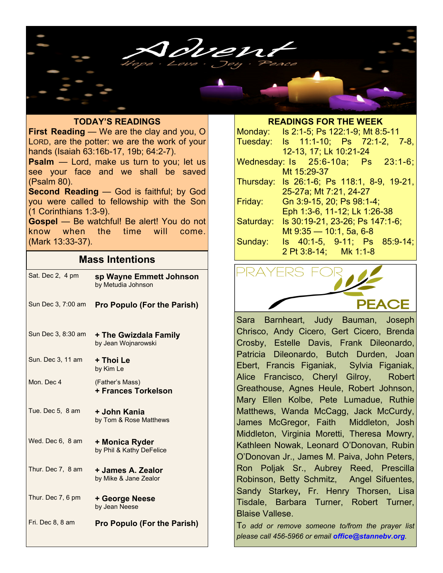

### **TODAY'S READINGS**

**First Reading** — We are the clay and you, O LORD, are the potter: we are the work of your hands (Isaiah 63:16b-17, 19b; 64:2-7).

**Psalm** — Lord, make us turn to you; let us see your face and we shall be saved (Psalm 80).

**Second Reading** — God is faithful; by God you were called to fellowship with the Son (1 Corinthians 1:3-9).

**Gospel** — Be watchful! Be alert! You do not know when the time will come. (Mark 13:33-37).

### **Mass Intentions**

| Sat. Dec 2, 4 pm   | sp Wayne Emmett Johnson<br>by Metudia Johnson |
|--------------------|-----------------------------------------------|
| Sun Dec 3, 7:00 am | <b>Pro Populo (For the Parish)</b>            |
| Sun Dec 3, 8:30 am | + The Gwizdala Family<br>by Jean Wojnarowski  |
| Sun. Dec 3, 11 am  | + Thoi Le<br>by Kim Le                        |
| Mon. Dec 4         | (Father's Mass)<br><b>+ Frances Torkelson</b> |
| Tue. Dec 5, 8 am   | + John Kania<br>by Tom & Rose Matthews        |
| Wed. Dec 6, 8 am   | + Monica Ryder<br>by Phil & Kathy DeFelice    |
| Thur. Dec 7, 8 am  | + James A. Zealor<br>by Mike & Jane Zealor    |
| Thur. Dec 7, 6 pm  | + George Neese<br>by Jean Neese               |
| Fri. Dec 8, 8 am   | <b>Pro Populo (For the Parish)</b>            |

#### **READINGS FOR THE WEEK**

| Monday:   | Is 2:1-5; Ps 122:1-9; Mt 8:5-11            |
|-----------|--------------------------------------------|
| Tuesday:  | Is 11:1-10; Ps 72:1-2, 7-8,                |
|           | 12-13, 17; Lk 10:21-24                     |
|           | Wednesday: Is 25:6-10a; Ps 23:1-6;         |
|           | Mt 15:29-37                                |
|           | Thursday: Is 26:1-6; Ps 118:1, 8-9, 19-21, |
|           | 25-27a; Mt 7:21, 24-27                     |
| Friday:   | Gn 3:9-15, 20; Ps 98:1-4;                  |
|           | Eph 1:3-6, 11-12; Lk 1:26-38               |
| Saturday: | Is 30:19-21, 23-26; Ps 147:1-6;            |
|           | Mt $9.35 - 10.1$ , 5a, 6-8                 |
| Sunday:   | Is 40:1-5, 9-11; Ps 85:9-14;               |
|           | 2 Pt 3:8-14; Mk 1:1-8                      |



Sara Barnheart, Judy Bauman, Joseph Chrisco, Andy Cicero, Gert Cicero, Brenda Crosby, Estelle Davis, Frank Dileonardo, Patricia Dileonardo, Butch Durden, Joan Ebert, Francis Figaniak, Sylvia Figaniak, Alice Francisco, Cheryl Gilroy, Robert Greathouse, Agnes Heule, Robert Johnson, Mary Ellen Kolbe, Pete Lumadue, Ruthie Matthews, Wanda McCagg, Jack McCurdy, James McGregor, Faith Middleton, Josh Middleton, Virginia Moretti, Theresa Mowry, Kathleen Nowak, Leonard O'Donovan, Rubin O'Donovan Jr., James M. Paiva, John Peters, Ron Poljak Sr., Aubrey Reed, Prescilla Robinson, Betty Schmitz, Angel Sifuentes, Sandy Starkey**,** Fr. Henry Thorsen, Lisa Tisdale, Barbara Turner, Robert Turner, Blaise Vallese.

T*o add or remove someone to/from the prayer list please call 456-5966 or email office@stannebv.org.*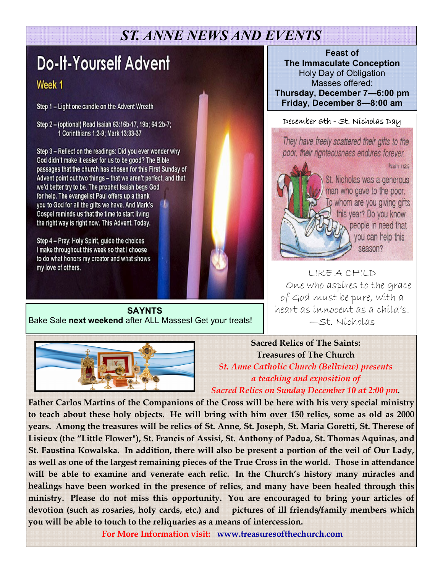## *ST. ANNE NEWS AND EVENTS*

## **Do-It-Yourself Advent**

### Week 1

Step 1 - Light one candle on the Advent Wreath

Step 2 - (optional) Read Isaiah 63:16b-17, 19b; 64:2b-7; 1 Corinthians 1:3-9; Mark 13:33-37

Step 3 - Reflect on the readings: Did you ever wonder why God didn't make it easier for us to be good? The Bible passages that the church has chosen for this First Sunday of Advent point out two things - that we aren't perfect, and that we'd better try to be. The prophet Isaiah begs God for help. The evangelist Paul offers up a thank you to God for all the gifts we have. And Mark's Gospel reminds us that the time to start living the right way is right now. This Advent. Today.

Step 4 - Pray: Holy Spirit, guide the choices I make throughout this week so that I choose to do what honors my creator and what shows my love of others.

**SAYNTS**  Bake Sale **next weekend** after ALL Masses! Get your treats!



December 6th - St. Nicholas Day

ì poor, their righteousness endures forever.

Psalm 112:9



St. Nicholas was a generous man who gave to the poor. To whom are you giving gifts l, ľ people in need that 7 you can help this season? į

l LIKE A CHILD One who aspires to the grace of God must be pure, with a heart as innocent as a child's. —St. Nicholas



**Sacred Relics of The Saints: Treasures of The Church**  *St. Anne Catholic Church (Bellview) presents a teaching and exposition of* 

*Sacred Relics on Sunday December 10 at 2:00 pm.* 

**Father Carlos Martins of the Companions of the Cross will be here with his very special ministry to teach about these holy objects. He will bring with him over 150 relics, some as old as 2000 years. Among the treasures will be relics of St. Anne, St. Joseph, St. Maria Goretti, St. Therese of Lisieux (the "Little Flower"), St. Francis of Assisi, St. Anthony of Padua, St. Thomas Aquinas, and St. Faustina Kowalska. In addition, there will also be present a portion of the veil of Our Lady, as well as one of the largest remaining pieces of the True Cross in the world. Those in attendance will be able to examine and venerate each relic. In the Church's history many miracles and healings have been worked in the presence of relics, and many have been healed through this ministry. Please do not miss this opportunity. You are encouraged to bring your articles of devotion (such as rosaries, holy cards, etc.) and pictures of ill friends/family members which you will be able to touch to the reliquaries as a means of intercession.** 

**For More Information visit: www.treasuresofthechurch.com**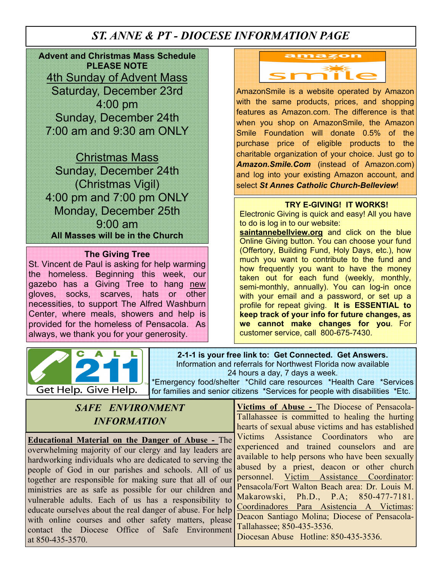### *ST. ANNE & PT - DIOCESE INFORMATION PAGE*

**Advent and Christmas Mass Schedule PLEASE NOTE**  4th Sunday of Advent Mass Saturday, December 23rd 4:00 pm Sunday, December 24th 7:00 am and 9:30 am ONLY

Christmas Mass Sunday, December 24th (Christmas Vigil) 4:00 pm and 7:00 pm ONLY Monday, December 25th 9:00 am **All Masses will be in the Church** 

### **The Giving Tree**

St. Vincent de Paul is asking for help warming the homeless. Beginning this week, our gazebo has a Giving Tree to hang new gloves, socks, scarves, hats or other necessities, to support The Alfred Washburn Center, where meals, showers and help is provided for the homeless of Pensacola. As always, we thank you for your generosity.





AmazonSmile is a website operated by Amazon with the same products, prices, and shopping features as Amazon.com. The difference is that when you shop on AmazonSmile, the Amazon Smile Foundation will donate 0.5% of the purchase price of eligible products to the charitable organization of your choice. Just go to *Amazon.Smile.Com* (instead of Amazon.com) and log into your existing Amazon account, and select *St Annes Catholic Church-Belleview*!

#### **TRY E-GIVING! IT WORKS!**

Electronic Giving is quick and easy! All you have to do is log in to our website:

saintannebellview.org and click on the blue Online Giving button. You can choose your fund (Offertory, Building Fund, Holy Days, etc.), how much you want to contribute to the fund and how frequently you want to have the money taken out for each fund (weekly, monthly, semi-monthly, annually). You can log-in once with your email and a password, or set up a profile for repeat giving. **It is ESSENTIAL to keep track of your info for future changes, as we cannot make changes for you**. For customer service, call 800-675-7430.

**2-1-1 is your free link to: Get Connected. Get Answers.**  Information and referrals for Northwest Florida now available 24 hours a day, 7 days a week.

\*Emergency food/shelter \*Child care resources \*Health Care \*Services for families and senior citizens \*Services for people with disabilities \*Etc.

| <b>SAFE ENVIRONMENT</b>   |
|---------------------------|
| <i><b>INFORMATION</b></i> |

**Educational Material on the Danger of Abuse -** The overwhelming majority of our clergy and lay leaders are hardworking individuals who are dedicated to serving the people of God in our parishes and schools. All of us together are responsible for making sure that all of our ministries are as safe as possible for our children and vulnerable adults. Each of us has a responsibility to educate ourselves about the real danger of abuse. For help with online courses and other safety matters, please contact the Diocese Office of Safe Environment at 850-435-3570.

**Victims of Abuse -** The Diocese of Pensacola-Tallahassee is committed to healing the hurting hearts of sexual abuse victims and has established Victims Assistance Coordinators who are experienced and trained counselors and are available to help persons who have been sexually abused by a priest, deacon or other church personnel. Victim Assistance Coordinator: Pensacola/Fort Walton Beach area: Dr. Louis M. Makarowski, Ph.D., P.A; 850-477-7181. Coordinadores Para Asistencia A Victimas: Deacon Santiago Molina; Diocese of Pensacola-Tallahassee; 850-435-3536. Diocesan Abuse Hotline: 850-435-3536.